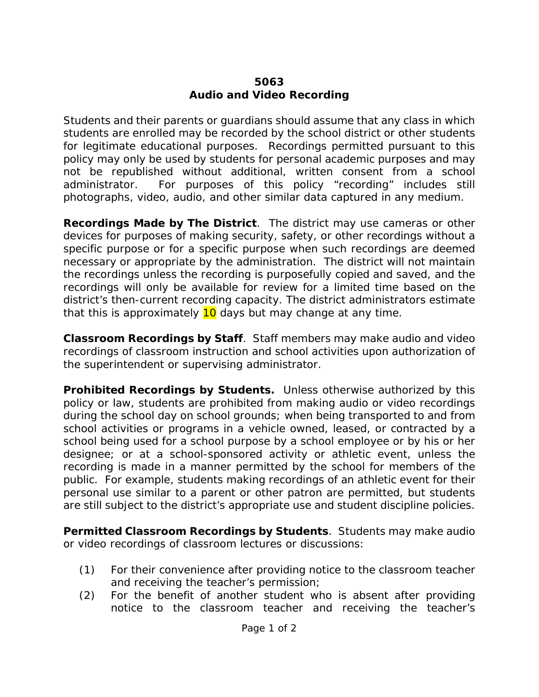## **5063 Audio and Video Recording**

Students and their parents or guardians should assume that any class in which students are enrolled may be recorded by the school district or other students for legitimate educational purposes. Recordings permitted pursuant to this policy may only be used by students for personal academic purposes and may not be republished without additional, written consent from a school administrator. For purposes of this policy "recording" includes still photographs, video, audio, and other similar data captured in any medium.

**Recordings Made by The District**. The district may use cameras or other devices for purposes of making security, safety, or other recordings without a specific purpose or for a specific purpose when such recordings are deemed necessary or appropriate by the administration. The district will not maintain the recordings unless the recording is purposefully copied and saved, and the recordings will only be available for review for a limited time based on the district's then-current recording capacity. The district administrators estimate that this is approximately  $10$  days but may change at any time.

**Classroom Recordings by Staff**. Staff members may make audio and video recordings of classroom instruction and school activities upon authorization of the superintendent or supervising administrator.

**Prohibited Recordings by Students.** Unless otherwise authorized by this policy or law, students are prohibited from making audio or video recordings during the school day on school grounds; when being transported to and from school activities or programs in a vehicle owned, leased, or contracted by a school being used for a school purpose by a school employee or by his or her designee; or at a school-sponsored activity or athletic event, unless the recording is made in a manner permitted by the school for members of the public. For example, students making recordings of an athletic event for their personal use similar to a parent or other patron are permitted, but students are still subject to the district's appropriate use and student discipline policies.

**Permitted Classroom Recordings by Students**. Students may make audio or video recordings of classroom lectures or discussions:

- (1) For their convenience after providing notice to the classroom teacher and receiving the teacher's permission;
- (2) For the benefit of another student who is absent after providing notice to the classroom teacher and receiving the teacher's